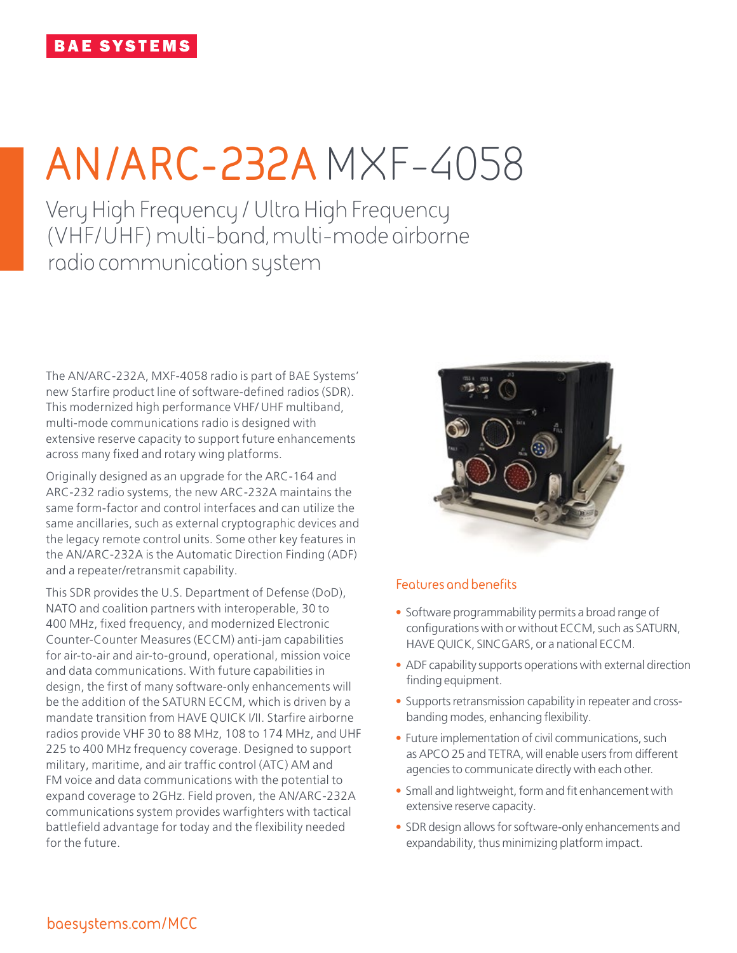# **AN/ARC-232A** MXF-4058

Very High Frequency / Ultra High Frequency (VHF/UHF) multi-band, multi-mode airborne radio communication system

The AN/ARC-232A, MXF-4058 radio is part of BAE Systems' new Starfire product line of software-defined radios (SDR). This modernized high performance VHF/ UHF multiband, multi-mode communications radio is designed with extensive reserve capacity to support future enhancements across many fixed and rotary wing platforms.

Originally designed as an upgrade for the ARC-164 and ARC-232 radio systems, the new ARC-232A maintains the same form-factor and control interfaces and can utilize the same ancillaries, such as external cryptographic devices and the legacy remote control units. Some other key features in the AN/ARC-232A is the Automatic Direction Finding (ADF) and a repeater/retransmit capability.

This SDR provides the U.S. Department of Defense (DoD), NATO and coalition partners with interoperable, 30 to 400 MHz, fixed frequency, and modernized Electronic Counter-Counter Measures (ECCM) anti-jam capabilities for air-to-air and air-to-ground, operational, mission voice and data communications. With future capabilities in design, the first of many software-only enhancements will be the addition of the SATURN ECCM, which is driven by a mandate transition from HAVE QUICK I/II. Starfire airborne radios provide VHF 30 to 88 MHz, 108 to 174 MHz, and UHF 225 to 400 MHz frequency coverage. Designed to support military, maritime, and air traffic control (ATC) AM and FM voice and data communications with the potential to expand coverage to 2GHz. Field proven, the AN/ARC-232A communications system provides warfighters with tactical battlefield advantage for today and the flexibility needed for the future.



# **Features and benefits**

- Software programmability permits a broad range of configurations with or without ECCM, such as SATURN, HAVE QUICK, SINCGARS, or a national ECCM.
- ADF capability supports operations with external direction finding equipment.
- Supports retransmission capability in repeater and crossbanding modes, enhancing flexibility.
- Future implementation of civil communications, such as APCO 25 and TETRA, will enable users from different agencies to communicate directly with each other.
- Small and lightweight, form and fit enhancement with extensive reserve capacity.
- SDR design allows for software-only enhancements and expandability, thus minimizing platform impact.